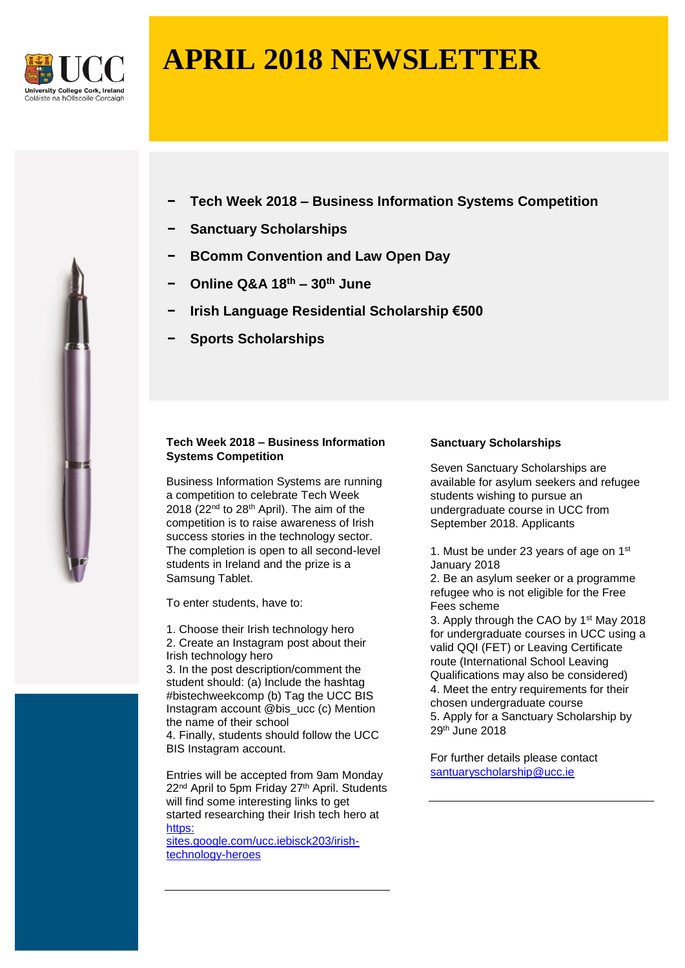

# **APRIL 2018 NEWSLETTER**

- **− Tech Week 2018 – Business Information Systems Competition**
- **− Sanctuary Scholarships**
- **− BComm Convention and Law Open Day**
- **− Online Q&A 18th – 30th June**
- **− Irish Language Residential Scholarship €500**
- **− Sports Scholarships**

# **Tech Week 2018 – Business Information Systems Competition**

Business Information Systems are running a competition to celebrate Tech Week 2018 (22nd to 28th April). The aim of the competition is to raise awareness of Irish success stories in the technology sector. The completion is open to all second-level students in Ireland and the prize is a Samsung Tablet.

To enter students, have to:

1. Choose their Irish technology hero 2. Create an Instagram post about their Irish technology hero

3. In the post description/comment the student should: (a) Include the hashtag #bistechweekcomp (b) Tag the UCC BIS Instagram account @bis\_ucc (c) Mention the name of their school

4. Finally, students should follow the UCC BIS Instagram account.

Entries will be accepted from 9am Monday 22<sup>nd</sup> April to 5pm Friday 27<sup>th</sup> April. Students will find some interesting links to get started researching their Irish tech hero at [https:](https://sites.google.com/ucc.ie/bisck203/irish-technology-heroes) 

[sites.google.com/ucc.iebisck203/irish](https://sites.google.com/ucc.ie/bisck203/irish-technology-heroes)[technology-heroes](https://sites.google.com/ucc.ie/bisck203/irish-technology-heroes)

## **Sanctuary Scholarships**

Seven Sanctuary Scholarships are available for asylum seekers and refugee students wishing to pursue an undergraduate course in UCC from September 2018. Applicants

1. Must be under 23 years of age on 1st January 2018

2. Be an asylum seeker or a programme refugee who is not eligible for the Free Fees scheme

3. Apply through the CAO by 1<sup>st</sup> May 2018 for undergraduate courses in UCC using a valid QQI (FET) or Leaving Certificate route (International School Leaving Qualifications may also be considered) 4. Meet the entry requirements for their chosen undergraduate course 5. Apply for a Sanctuary Scholarship by 29th June 2018

For further details please contact [santuaryscholarship@ucc.ie](mailto:santuaryscholarship@ucc.ie)